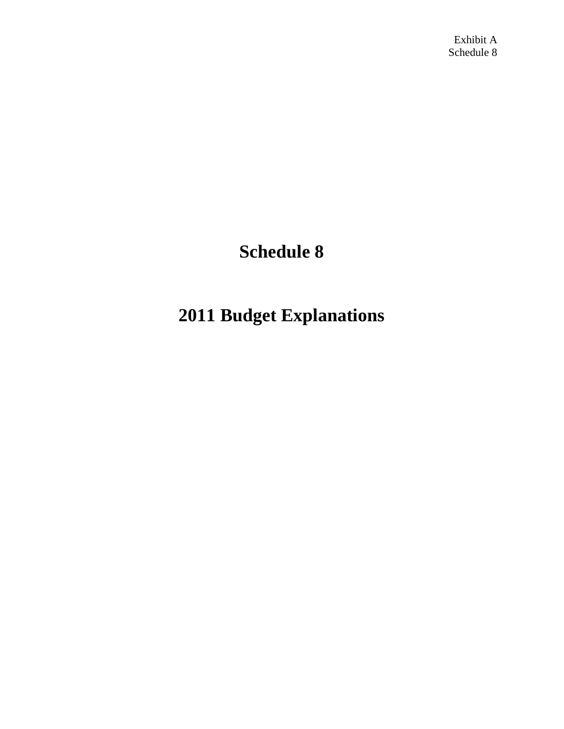Exhibit A Schedule 8

# **Schedule 8**

# **2011 Budget Explanations**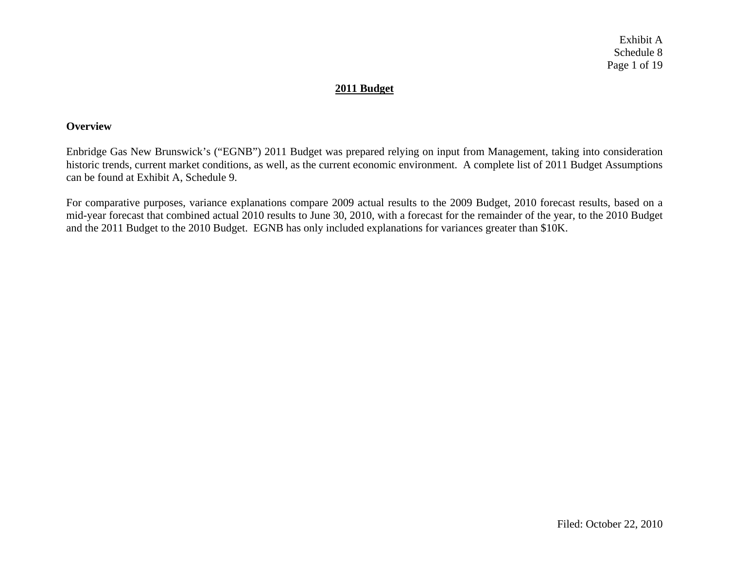Exhibit A Schedule 8 Page 1 of 19

## **2011 Budget**

#### **Overview**

Enbridge Gas New Brunswick's ("EGNB") 2011 Budget was prepared relying on input from Management, taking into consideration historic trends, current market conditions, as well, as the current economic environment. A complete list of 2011 Budget Assumptions can be found at Exhibit A, Schedule 9.

For comparative purposes, variance explanations compare 2009 actual results to the 2009 Budget, 2010 forecast results, based on a mid-year forecast that combined actual 2010 results to June 30, 2010, with a forecast for the remainder of the year, to the 2010 Budget and the 2011 Budget to the 2010 Budget. EGNB has only included explanations for variances greater than \$10K.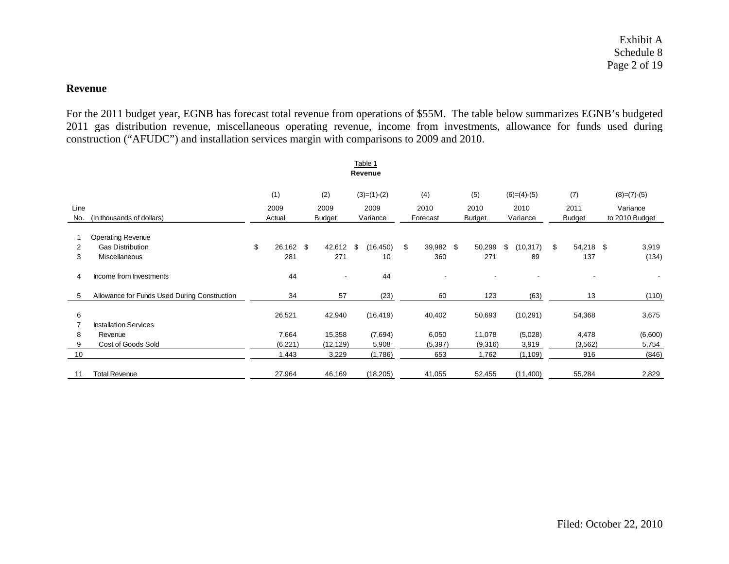#### **Revenue**

For the 2011 budget year, EGNB has forecast total revenue from operations of \$55M. The table below summarizes EGNB's budgeted 2011 gas distribution revenue, miscellaneous operating revenue, income from investments, allowance for funds used during construction ("AFUDC") and installation services margin with comparisons to 2009 and 2010.

|      |                                              |    |           |  |               | Table 1         |      |           |      |               |                  |      |               |          |                |
|------|----------------------------------------------|----|-----------|--|---------------|-----------------|------|-----------|------|---------------|------------------|------|---------------|----------|----------------|
|      | Revenue                                      |    |           |  |               |                 |      |           |      |               |                  |      |               |          |                |
|      |                                              |    | (1)       |  | (2)           | $(3)=(1)-(2)$   |      | (4)       |      | (5)           | $(6)=(4)-(5)$    |      | (7)           |          | $(8)=(7)-(5)$  |
| Line |                                              |    | 2009      |  | 2009          |                 | 2009 |           | 2010 |               | 2010             | 2010 | 2011          | Variance |                |
| No.  | (in thousands of dollars)                    |    | Actual    |  | <b>Budget</b> | Variance        |      | Forecast  |      | <b>Budget</b> | Variance         |      | <b>Budget</b> |          | to 2010 Budget |
|      |                                              |    |           |  |               |                 |      |           |      |               |                  |      |               |          |                |
|      | <b>Operating Revenue</b>                     |    |           |  |               |                 |      |           |      |               |                  |      |               |          |                |
| 2    | <b>Gas Distribution</b>                      | \$ | 26,162 \$ |  | 42,612        | (16, 450)<br>\$ | \$   | 39,982 \$ |      | 50,299        | (10, 317)<br>\$. | \$   | 54,218 \$     |          | 3,919          |
| 3    | Miscellaneous                                |    | 281       |  | 271           | 10              |      | 360       |      | 271           | 89               |      | 137           |          | (134)          |
|      |                                              |    |           |  |               |                 |      |           |      |               |                  |      |               |          |                |
| 4    | Income from Investments                      |    | 44        |  |               | 44              |      |           |      |               |                  |      |               |          |                |
|      |                                              |    |           |  |               |                 |      |           |      |               |                  |      |               |          |                |
| 5    | Allowance for Funds Used During Construction |    | 34        |  | 57            | (23)            |      | 60        |      | 123           | (63)             |      | 13            |          | (110)          |
|      |                                              |    |           |  |               |                 |      |           |      |               |                  |      |               |          |                |
| 6    |                                              |    | 26,521    |  | 42,940        | (16, 419)       |      | 40,402    |      | 50,693        | (10, 291)        |      | 54,368        |          | 3,675          |
|      | <b>Installation Services</b>                 |    |           |  |               |                 |      |           |      |               |                  |      |               |          |                |
| 8    | Revenue                                      |    | 7,664     |  | 15,358        | (7,694)         |      | 6,050     |      | 11,078        | (5,028)          |      | 4,478         |          | (6,600)        |
| 9    | Cost of Goods Sold                           |    | (6,221)   |  | (12, 129)     | 5,908           |      | (5,397)   |      | (9,316)       | 3,919            |      | (3, 562)      |          | 5,754          |
| 10   |                                              |    | 1,443     |  | 3,229         | (1,786)         |      | 653       |      | 1,762         | (1, 109)         |      | 916           |          | (846)          |
|      |                                              |    |           |  |               |                 |      |           |      |               |                  |      |               |          |                |
| 11   | <b>Total Revenue</b>                         |    | 27,964    |  | 46,169        | (18, 205)       |      | 41,055    |      | 52,455        | (11,400)         |      | 55,284        |          | 2,829          |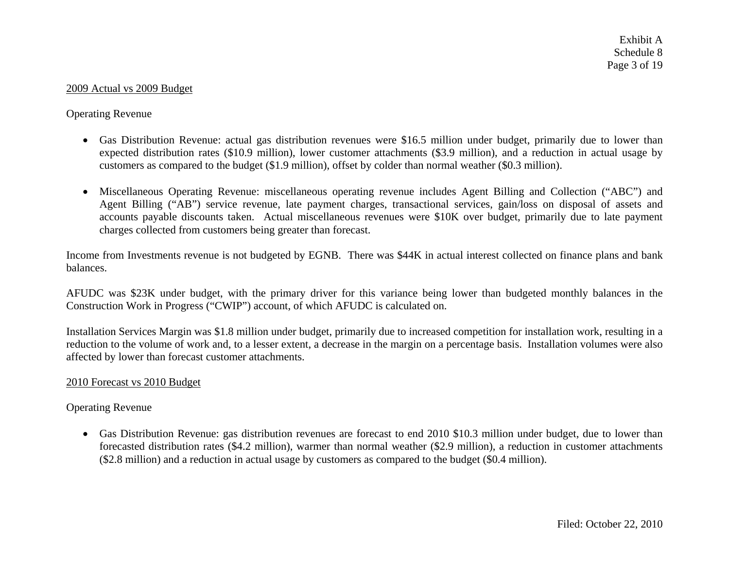#### 2009 Actual vs 2009 Budget

### Operating Revenue

- Gas Distribution Revenue: actual gas distribution revenues were \$16.5 million under budget, primarily due to lower than expected distribution rates (\$10.9 million), lower customer attachments (\$3.9 million), and a reduction in actual usage by customers as compared to the budget (\$1.9 million), offset by colder than normal weather (\$0.3 million).
- Miscellaneous Operating Revenue: miscellaneous operating revenue includes Agent Billing and Collection ("ABC") and Agent Billing ("AB") service revenue, late payment charges, transactional services, gain/loss on disposal of assets and accounts payable discounts taken. Actual miscellaneous revenues were \$10K over budget, primarily due to late payment charges collected from customers being greater than forecast.

Income from Investments revenue is not budgeted by EGNB. There was \$44K in actual interest collected on finance plans and bank balances.

AFUDC was \$23K under budget, with the primary driver for this variance being lower than budgeted monthly balances in the Construction Work in Progress ("CWIP") account, of which AFUDC is calculated on.

Installation Services Margin was \$1.8 million under budget, primarily due to increased competition for installation work, resulting in a reduction to the volume of work and, to a lesser extent, a decrease in the margin on a percentage basis. Installation volumes were also affected by lower than forecast customer attachments.

#### 2010 Forecast vs 2010 Budget

#### Operating Revenue

• Gas Distribution Revenue: gas distribution revenues are forecast to end 2010 \$10.3 million under budget, due to lower than forecasted distribution rates (\$4.2 million), warmer than normal weather (\$2.9 million), a reduction in customer attachments (\$2.8 million) and a reduction in actual usage by customers as compared to the budget (\$0.4 million).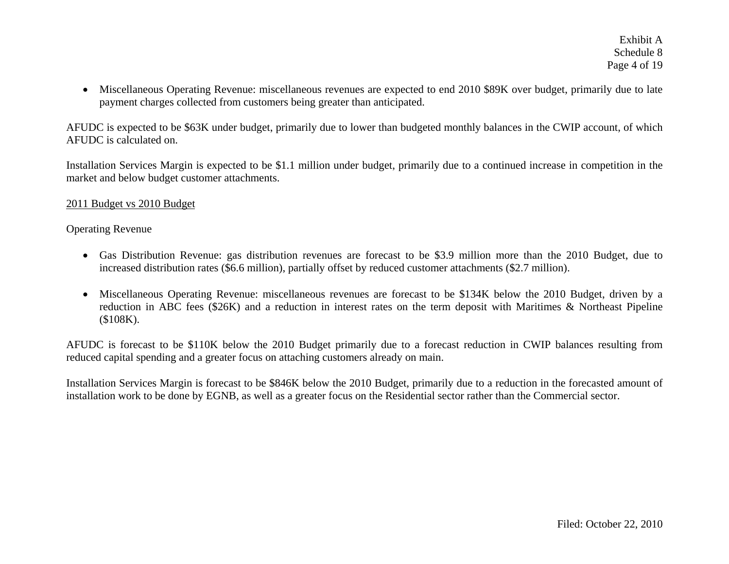Exhibit A Schedule 8 Page 4 of 19

• Miscellaneous Operating Revenue: miscellaneous revenues are expected to end 2010 \$89K over budget, primarily due to late payment charges collected from customers being greater than anticipated.

AFUDC is expected to be \$63K under budget, primarily due to lower than budgeted monthly balances in the CWIP account, of which AFUDC is calculated on.

Installation Services Margin is expected to be \$1.1 million under budget, primarily due to a continued increase in competition in the market and below budget customer attachments.

#### 2011 Budget vs 2010 Budget

#### Operating Revenue

- Gas Distribution Revenue: gas distribution revenues are forecast to be \$3.9 million more than the 2010 Budget, due to increased distribution rates (\$6.6 million), partially offset by reduced customer attachments (\$2.7 million).
- Miscellaneous Operating Revenue: miscellaneous revenues are forecast to be \$134K below the 2010 Budget, driven by a reduction in ABC fees (\$26K) and a reduction in interest rates on the term deposit with Maritimes & Northeast Pipeline (\$108K).

AFUDC is forecast to be \$110K below the 2010 Budget primarily due to a forecast reduction in CWIP balances resulting from reduced capital spending and a greater focus on attaching customers already on main.

Installation Services Margin is forecast to be \$846K below the 2010 Budget, primarily due to a reduction in the forecasted amount of installation work to be done by EGNB, as well as a greater focus on the Residential sector rather than the Commercial sector.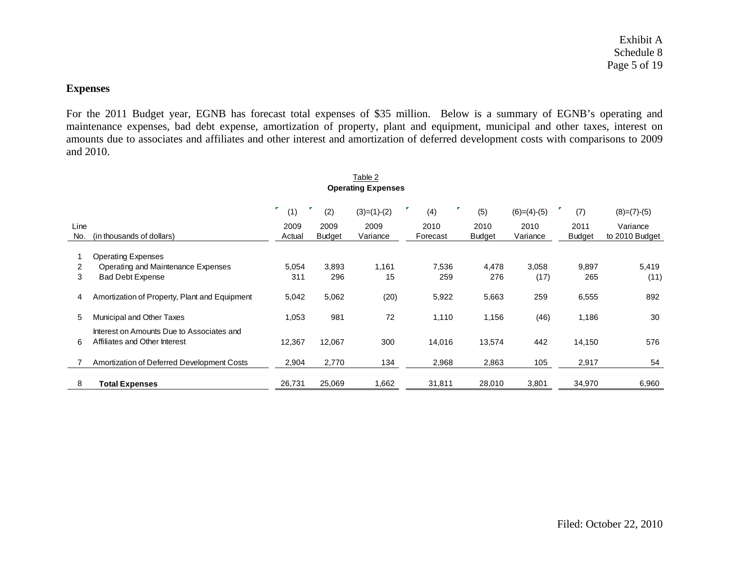# **Expenses**

For the 2011 Budget year, EGNB has forecast total expenses of \$35 million. Below is a summary of EGNB's operating and maintenance expenses, bad debt expense, amortization of property, plant and equipment, municipal and other taxes, interest on amounts due to associates and affiliates and other interest and amortization of deferred development costs with comparisons to 2009 and 2010.

|             | <b>Operating Expenses</b>                                                  |                |                       |                  |                  |                       |                  |                       |                            |  |  |
|-------------|----------------------------------------------------------------------------|----------------|-----------------------|------------------|------------------|-----------------------|------------------|-----------------------|----------------------------|--|--|
|             |                                                                            | (1)            | (2)                   | $(3)=(1)-(2)$    | (4)              | (5)                   | $(6)=(4)-(5)$    | (7)                   | $(8)=(7)-(5)$              |  |  |
| Line<br>No. | (in thousands of dollars)                                                  | 2009<br>Actual | 2009<br><b>Budget</b> | 2009<br>Variance | 2010<br>Forecast | 2010<br><b>Budget</b> | 2010<br>Variance | 2011<br><b>Budget</b> | Variance<br>to 2010 Budget |  |  |
|             | <b>Operating Expenses</b>                                                  |                |                       |                  |                  |                       |                  |                       |                            |  |  |
| 2           | Operating and Maintenance Expenses                                         | 5,054          | 3,893                 | 1,161            | 7,536            | 4,478                 | 3,058            | 9,897                 | 5,419                      |  |  |
| 3           | <b>Bad Debt Expense</b>                                                    | 311            | 296                   | 15               | 259              | 276                   | (17)             | 265                   | (11)                       |  |  |
| 4           | Amortization of Property, Plant and Equipment                              | 5,042          | 5,062                 | (20)             | 5,922            | 5,663                 | 259              | 6,555                 | 892                        |  |  |
| 5           | Municipal and Other Taxes                                                  | 1,053          | 981                   | 72               | 1,110            | 1,156                 | (46)             | 1,186                 | 30                         |  |  |
| 6           | Interest on Amounts Due to Associates and<br>Affiliates and Other Interest | 12,367         | 12,067                | 300              | 14,016           | 13,574                | 442              | 14,150                | 576                        |  |  |
|             | Amortization of Deferred Development Costs                                 | 2,904          | 2,770                 | 134              | 2,968            | 2,863                 | 105              | 2,917                 | 54                         |  |  |
| 8           | <b>Total Expenses</b>                                                      | 26,731         | 25,069                | 1,662            | 31,811           | 28,010                | 3,801            | 34,970                | 6,960                      |  |  |

# Table 2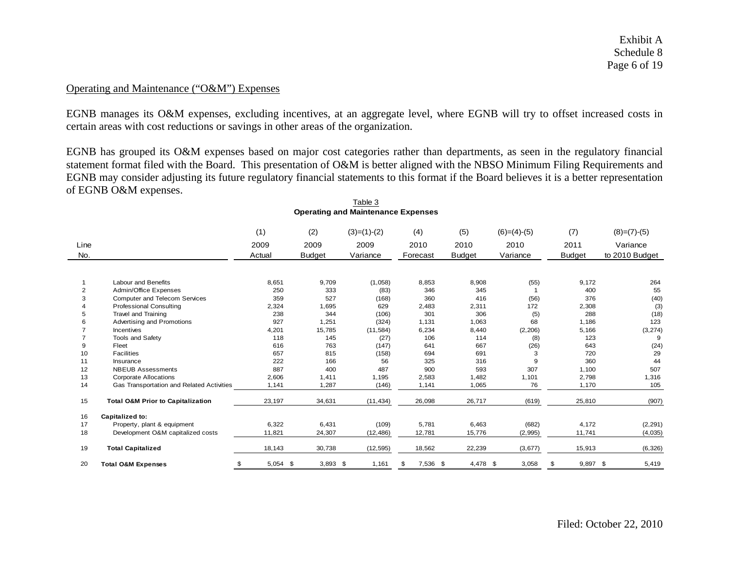Exhibit A Schedule 8 Page 6 of 19

#### Operating and Maintenance ("O&M") Expenses

EGNB manages its O&M expenses, excluding incentives, at an aggregate level, where EGNB will try to offset increased costs in certain areas with cost reductions or savings in other areas of the organization.

EGNB has grouped its O&M expenses based on major cost categories rather than departments, as seen in the regulatory financial statement format filed with the Board. This presentation of O&M is better aligned with the NBSO Minimum Filing Requirements and EGNB may consider adjusting its future regulatory financial statements to this format if the Board believes it is a better representation of EGNB O&M expenses.

|                |                                              | (1)              | (2)           | $(3)=(1)-(2)$ | (4)            | (5)           | $(6)=(4)-(5)$ | (7)            | $(8)=(7)-(5)$  |
|----------------|----------------------------------------------|------------------|---------------|---------------|----------------|---------------|---------------|----------------|----------------|
| Line           |                                              | 2009             | 2009          | 2009          | 2010           | 2010          | 2010          | 2011           | Variance       |
| No.            |                                              | Actual           | <b>Budget</b> | Variance      | Forecast       | <b>Budget</b> | Variance      | Budget         | to 2010 Budget |
|                |                                              |                  |               |               |                |               |               |                |                |
|                |                                              |                  |               |               |                |               |               |                |                |
|                | Labour and Benefits                          | 8,651            | 9,709         | (1,058)       | 8,853          | 8,908         | (55)          | 9,172          | 264            |
| $\overline{2}$ | Admin/Office Expenses                        | 250              | 333           | (83)          | 346            | 345           |               | 400            | 55             |
| 3              | <b>Computer and Telecom Services</b>         | 359              | 527           | (168)         | 360            | 416           | (56)          | 376            | (40)           |
|                | <b>Professional Consulting</b>               | 2,324            | 1,695         | 629           | 2,483          | 2,311         | 172           | 2,308          | (3)            |
|                | Travel and Training                          | 238              | 344           | (106)         | 301            | 306           | (5)           | 288            | (18)           |
| 6              | Advertising and Promotions                   | 927              | 1,251         | (324)         | 1,131          | 1,063         | 68            | 1,186          | 123            |
|                | <b>Incentives</b>                            | 4,201            | 15,785        | (11, 584)     | 6,234          | 8,440         | (2, 206)      | 5,166          | (3, 274)       |
|                | <b>Tools and Safety</b>                      | 118              | 145           | (27)          | 106            | 114           | (8)           | 123            | 9              |
| 9              | Fleet                                        | 616              | 763           | (147)         | 641            | 667           | (26)          | 643            | (24)           |
| 10             | <b>Facilities</b>                            | 657              | 815           | (158)         | 694            | 691           | 3             | 720            | 29             |
| 11             | Insurance                                    | 222              | 166           | 56            | 325            | 316           | 9             | 360            | 44             |
| 12             | <b>NBEUB Assessments</b>                     | 887              | 400           | 487           | 900            | 593           | 307           | 1,100          | 507            |
| 13             | <b>Corporate Allocations</b>                 | 2,606            | 1.411         | 1,195         | 2,583          | 1,482         | 1,101         | 2,798          | 1,316          |
| 14             | Gas Transportation and Related Activities    | 1,141            | 1,287         | (146)         | 1,141          | 1,065         | 76            | 1,170          | 105            |
| 15             | <b>Total O&amp;M Prior to Capitalization</b> | 23,197           | 34,631        | (11, 434)     | 26,098         | 26,717        | (619)         | 25,810         | (907)          |
| 16             | Capitalized to:                              |                  |               |               |                |               |               |                |                |
| 17             | Property, plant & equipment                  | 6,322            | 6,431         | (109)         | 5,781          | 6,463         | (682)         | 4,172          | (2, 291)       |
| 18             | Development O&M capitalized costs            | 11,821           | 24,307        | (12, 486)     | 12,781         | 15,776        | (2,995)       | 11,741         | (4,035)        |
|                |                                              |                  |               |               |                |               |               |                |                |
| 19             | <b>Total Capitalized</b>                     | 18,143           | 30,738        | (12, 595)     | 18,562         | 22,239        | (3,677)       | 15,913         | (6, 326)       |
| 20             | <b>Total O&amp;M Expenses</b>                | $5,054$ \$<br>\$ | $3,893$ \$    | 1,161         | \$<br>7,536 \$ | 4,478 \$      | 3,058         | 9,897 \$<br>\$ | 5,419          |

#### Table 3**Operating and Maintenance Expenses**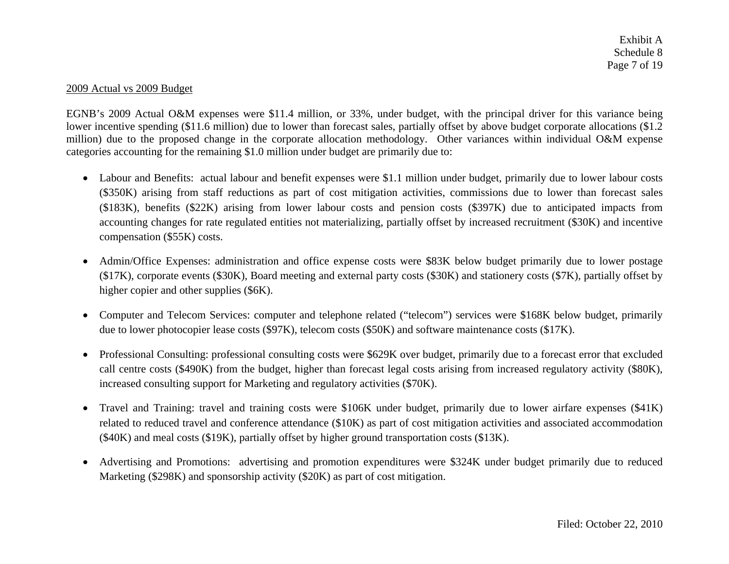Exhibit A Schedule 8 Page 7 of 19

#### 2009 Actual vs 2009 Budget

EGNB's 2009 Actual O&M expenses were \$11.4 million, or 33%, under budget, with the principal driver for this variance being lower incentive spending (\$11.6 million) due to lower than forecast sales, partially offset by above budget corporate allocations (\$1.2) million) due to the proposed change in the corporate allocation methodology. Other variances within individual O&M expense categories accounting for the remaining \$1.0 million under budget are primarily due to:

- Labour and Benefits: actual labour and benefit expenses were \$1.1 million under budget, primarily due to lower labour costs (\$350K) arising from staff reductions as part of cost mitigation activities, commissions due to lower than forecast sales (\$183K), benefits (\$22K) arising from lower labour costs and pension costs (\$397K) due to anticipated impacts from accounting changes for rate regulated entities not materializing, partially offset by increased recruitment (\$30K) and incentive compensation (\$55K) costs.
- $\bullet$  Admin/Office Expenses: administration and office expense costs were \$83K below budget primarily due to lower postage (\$17K), corporate events (\$30K), Board meeting and external party costs (\$30K) and stationery costs (\$7K), partially offset by higher copier and other supplies (\$6K).
- • Computer and Telecom Services: computer and telephone related ("telecom") services were \$168K below budget, primarily due to lower photocopier lease costs (\$97K), telecom costs (\$50K) and software maintenance costs (\$17K).
- Professional Consulting: professional consulting costs were \$629K over budget, primarily due to a forecast error that excluded call centre costs (\$490K) from the budget, higher than forecast legal costs arising from increased regulatory activity (\$80K), increased consulting support for Marketing and regulatory activities (\$70K).
- $\bullet$  Travel and Training: travel and training costs were \$106K under budget, primarily due to lower airfare expenses (\$41K) related to reduced travel and conference attendance (\$10K) as part of cost mitigation activities and associated accommodation (\$40K) and meal costs (\$19K), partially offset by higher ground transportation costs (\$13K).
- $\bullet$  Advertising and Promotions: advertising and promotion expenditures were \$324K under budget primarily due to reduced Marketing (\$298K) and sponsorship activity (\$20K) as part of cost mitigation.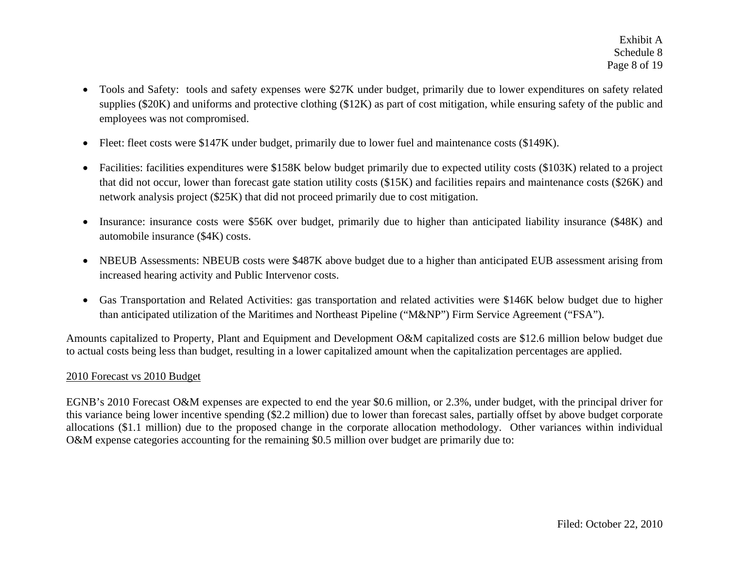- $\bullet$  Tools and Safety: tools and safety expenses were \$27K under budget, primarily due to lower expenditures on safety related supplies (\$20K) and uniforms and protective clothing (\$12K) as part of cost mitigation, while ensuring safety of the public and employees was not compromised.
- •Fleet: fleet costs were \$147K under budget, primarily due to lower fuel and maintenance costs (\$149K).
- $\bullet$  Facilities: facilities expenditures were \$158K below budget primarily due to expected utility costs (\$103K) related to a project that did not occur, lower than forecast gate station utility costs (\$15K) and facilities repairs and maintenance costs (\$26K) and network analysis project (\$25K) that did not proceed primarily due to cost mitigation.
- $\bullet$  Insurance: insurance costs were \$56K over budget, primarily due to higher than anticipated liability insurance (\$48K) and automobile insurance (\$4K) costs.
- NBEUB Assessments: NBEUB costs were \$487K above budget due to a higher than anticipated EUB assessment arising from increased hearing activity and Public Intervenor costs.
- Gas Transportation and Related Activities: gas transportation and related activities were \$146K below budget due to higher than anticipated utilization of the Maritimes and Northeast Pipeline ("M&NP") Firm Service Agreement ("FSA").

Amounts capitalized to Property, Plant and Equipment and Development O&M capitalized costs are \$12.6 million below budget due to actual costs being less than budget, resulting in a lower capitalized amount when the capitalization percentages are applied.

### 2010 Forecast vs 2010 Budget

EGNB's 2010 Forecast O&M expenses are expected to end the year \$0.6 million, or 2.3%, under budget, with the principal driver for this variance being lower incentive spending (\$2.2 million) due to lower than forecast sales, partially offset by above budget corporate allocations (\$1.1 million) due to the proposed change in the corporate allocation methodology. Other variances within individual O&M expense categories accounting for the remaining \$0.5 million over budget are primarily due to: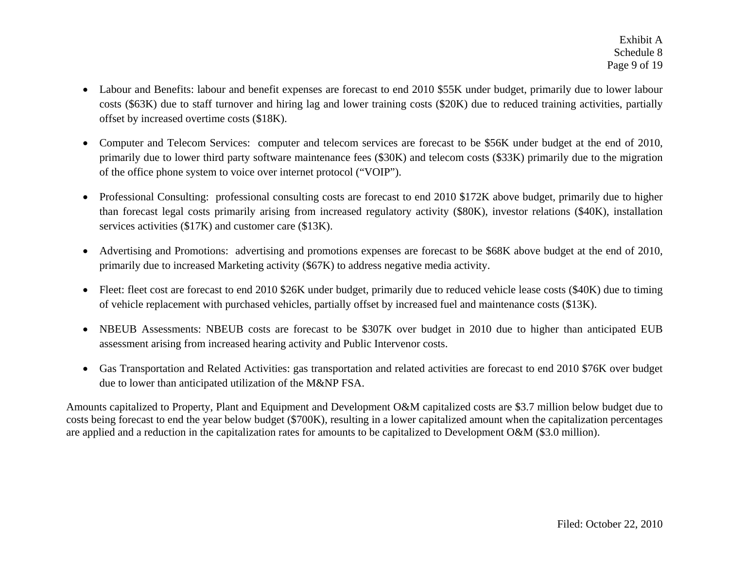- $\bullet$  Labour and Benefits: labour and benefit expenses are forecast to end 2010 \$55K under budget, primarily due to lower labour costs (\$63K) due to staff turnover and hiring lag and lower training costs (\$20K) due to reduced training activities, partially offset by increased overtime costs (\$18K).
- $\bullet$  Computer and Telecom Services: computer and telecom services are forecast to be \$56K under budget at the end of 2010, primarily due to lower third party software maintenance fees (\$30K) and telecom costs (\$33K) primarily due to the migration of the office phone system to voice over internet protocol ("VOIP").
- • Professional Consulting: professional consulting costs are forecast to end 2010 \$172K above budget, primarily due to higher than forecast legal costs primarily arising from increased regulatory activity (\$80K), investor relations (\$40K), installation services activities (\$17K) and customer care (\$13K).
- $\bullet$  Advertising and Promotions: advertising and promotions expenses are forecast to be \$68K above budget at the end of 2010, primarily due to increased Marketing activity (\$67K) to address negative media activity.
- Fleet: fleet cost are forecast to end 2010 \$26K under budget, primarily due to reduced vehicle lease costs (\$40K) due to timing of vehicle replacement with purchased vehicles, partially offset by increased fuel and maintenance costs (\$13K).
- $\bullet$  NBEUB Assessments: NBEUB costs are forecast to be \$307K over budget in 2010 due to higher than anticipated EUB assessment arising from increased hearing activity and Public Intervenor costs.
- $\bullet$  Gas Transportation and Related Activities: gas transportation and related activities are forecast to end 2010 \$76K over budget due to lower than anticipated utilization of the M&NP FSA.

Amounts capitalized to Property, Plant and Equipment and Development O&M capitalized costs are \$3.7 million below budget due to costs being forecast to end the year below budget (\$700K), resulting in a lower capitalized amount when the capitalization percentages are applied and a reduction in the capitalization rates for amounts to be capitalized to Development O&M (\$3.0 million).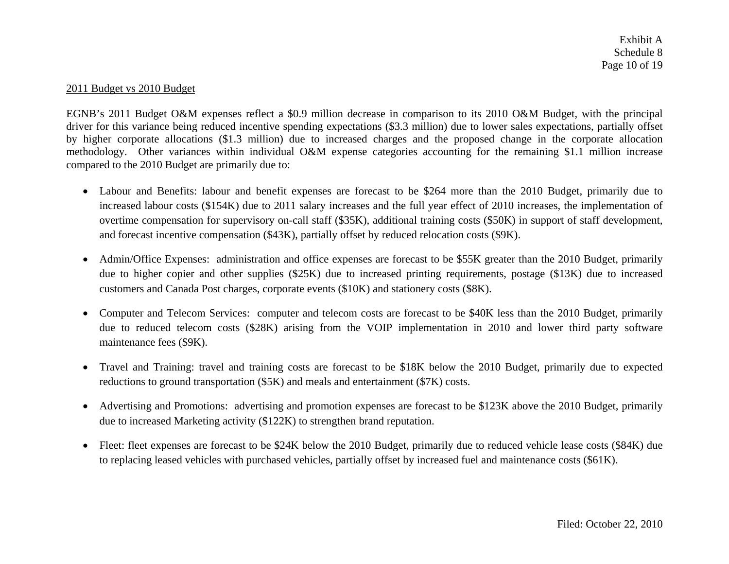Exhibit A Schedule 8 Page 10 of 19

#### 2011 Budget vs 2010 Budget

EGNB's 2011 Budget O&M expenses reflect a \$0.9 million decrease in comparison to its 2010 O&M Budget, with the principal driver for this variance being reduced incentive spending expectations (\$3.3 million) due to lower sales expectations, partially offset by higher corporate allocations (\$1.3 million) due to increased charges and the proposed change in the corporate allocation methodology. Other variances within individual O&M expense categories accounting for the remaining \$1.1 million increase compared to the 2010 Budget are primarily due to:

- Labour and Benefits: labour and benefit expenses are forecast to be \$264 more than the 2010 Budget, primarily due to increased labour costs (\$154K) due to 2011 salary increases and the full year effect of 2010 increases, the implementation of overtime compensation for supervisory on-call staff (\$35K), additional training costs (\$50K) in support of staff development, and forecast incentive compensation (\$43K), partially offset by reduced relocation costs (\$9K).
- Admin/Office Expenses: administration and office expenses are forecast to be \$55K greater than the 2010 Budget, primarily due to higher copier and other supplies (\$25K) due to increased printing requirements, postage (\$13K) due to increased customers and Canada Post charges, corporate events (\$10K) and stationery costs (\$8K).
- Computer and Telecom Services: computer and telecom costs are forecast to be \$40K less than the 2010 Budget, primarily due to reduced telecom costs (\$28K) arising from the VOIP implementation in 2010 and lower third party software maintenance fees (\$9K).
- Travel and Training: travel and training costs are forecast to be \$18K below the 2010 Budget, primarily due to expected reductions to ground transportation (\$5K) and meals and entertainment (\$7K) costs.
- $\bullet$  Advertising and Promotions: advertising and promotion expenses are forecast to be \$123K above the 2010 Budget, primarily due to increased Marketing activity (\$122K) to strengthen brand reputation.
- $\bullet$  Fleet: fleet expenses are forecast to be \$24K below the 2010 Budget, primarily due to reduced vehicle lease costs (\$84K) due to replacing leased vehicles with purchased vehicles, partially offset by increased fuel and maintenance costs (\$61K).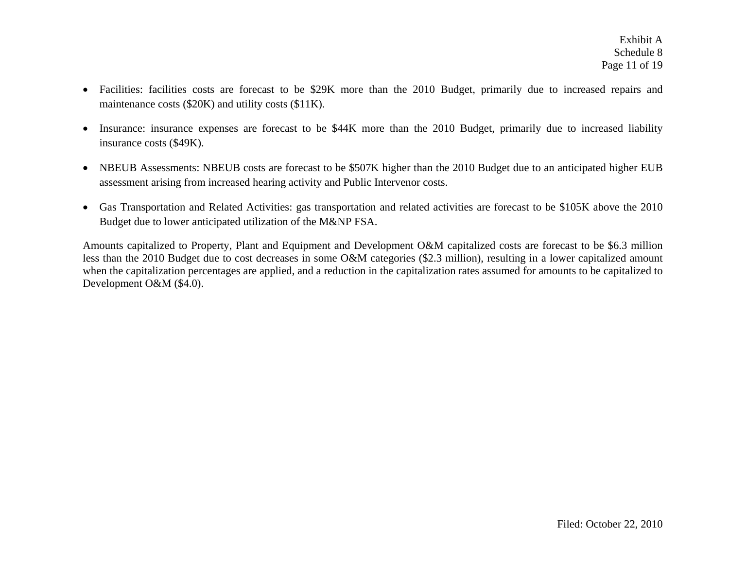- $\bullet$  Facilities: facilities costs are forecast to be \$29K more than the 2010 Budget, primarily due to increased repairs and maintenance costs (\$20K) and utility costs (\$11K).
- $\bullet$  Insurance: insurance expenses are forecast to be \$44K more than the 2010 Budget, primarily due to increased liability insurance costs (\$49K).
- $\bullet$  NBEUB Assessments: NBEUB costs are forecast to be \$507K higher than the 2010 Budget due to an anticipated higher EUB assessment arising from increased hearing activity and Public Intervenor costs.
- Gas Transportation and Related Activities: gas transportation and related activities are forecast to be \$105K above the 2010 Budget due to lower anticipated utilization of the M&NP FSA.

Amounts capitalized to Property, Plant and Equipment and Development O&M capitalized costs are forecast to be \$6.3 million less than the 2010 Budget due to cost decreases in some O&M categories (\$2.3 million), resulting in a lower capitalized amount when the capitalization percentages are applied, and a reduction in the capitalization rates assumed for amounts to be capitalized to Development O&M (\$4.0).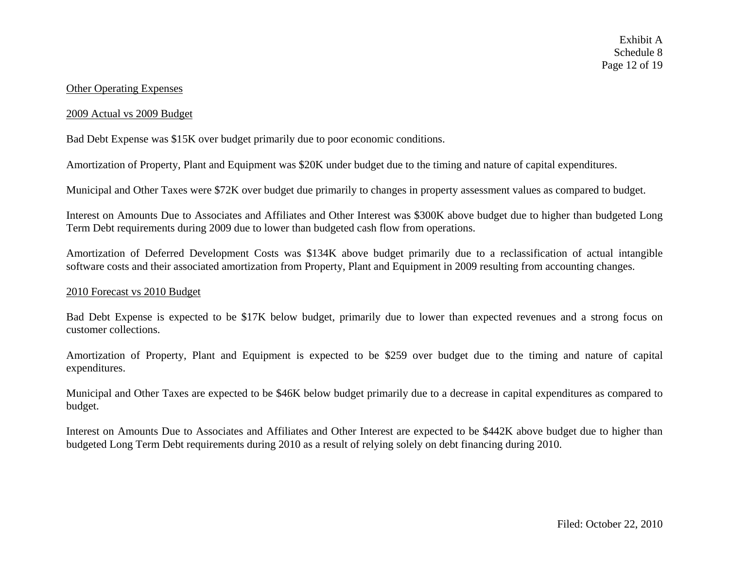#### Other Operating Expenses

#### 2009 Actual vs 2009 Budget

Bad Debt Expense was \$15K over budget primarily due to poor economic conditions.

Amortization of Property, Plant and Equipment was \$20K under budget due to the timing and nature of capital expenditures.

Municipal and Other Taxes were \$72K over budget due primarily to changes in property assessment values as compared to budget.

Interest on Amounts Due to Associates and Affiliates and Other Interest was \$300K above budget due to higher than budgeted Long Term Debt requirements during 2009 due to lower than budgeted cash flow from operations.

Amortization of Deferred Development Costs was \$134K above budget primarily due to a reclassification of actual intangible software costs and their associated amortization from Property, Plant and Equipment in 2009 resulting from accounting changes.

#### 2010 Forecast vs 2010 Budget

Bad Debt Expense is expected to be \$17K below budget, primarily due to lower than expected revenues and a strong focus on customer collections.

Amortization of Property, Plant and Equipment is expected to be \$259 over budget due to the timing and nature of capital expenditures.

Municipal and Other Taxes are expected to be \$46K below budget primarily due to a decrease in capital expenditures as compared to budget.

Interest on Amounts Due to Associates and Affiliates and Other Interest are expected to be \$442K above budget due to higher than budgeted Long Term Debt requirements during 2010 as a result of relying solely on debt financing during 2010.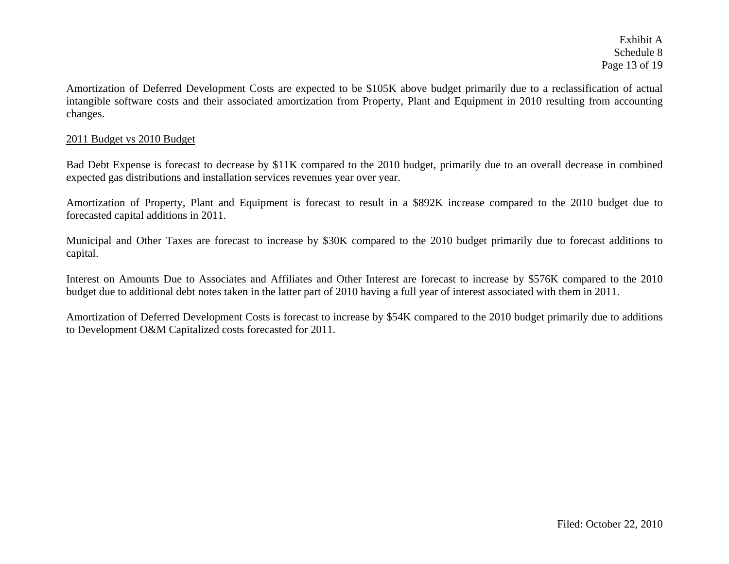Exhibit A Schedule 8 Page 13 of 19

Amortization of Deferred Development Costs are expected to be \$105K above budget primarily due to a reclassification of actual intangible software costs and their associated amortization from Property, Plant and Equipment in 2010 resulting from accounting changes.

#### 2011 Budget vs 2010 Budget

Bad Debt Expense is forecast to decrease by \$11K compared to the 2010 budget, primarily due to an overall decrease in combined expected gas distributions and installation services revenues year over year.

Amortization of Property, Plant and Equipment is forecast to result in a \$892K increase compared to the 2010 budget due to forecasted capital additions in 2011.

Municipal and Other Taxes are forecast to increase by \$30K compared to the 2010 budget primarily due to forecast additions to capital.

Interest on Amounts Due to Associates and Affiliates and Other Interest are forecast to increase by \$576K compared to the 2010 budget due to additional debt notes taken in the latter part of 2010 having a full year of interest associated with them in 2011.

Amortization of Deferred Development Costs is forecast to increase by \$54K compared to the 2010 budget primarily due to additions to Development O&M Capitalized costs forecasted for 2011.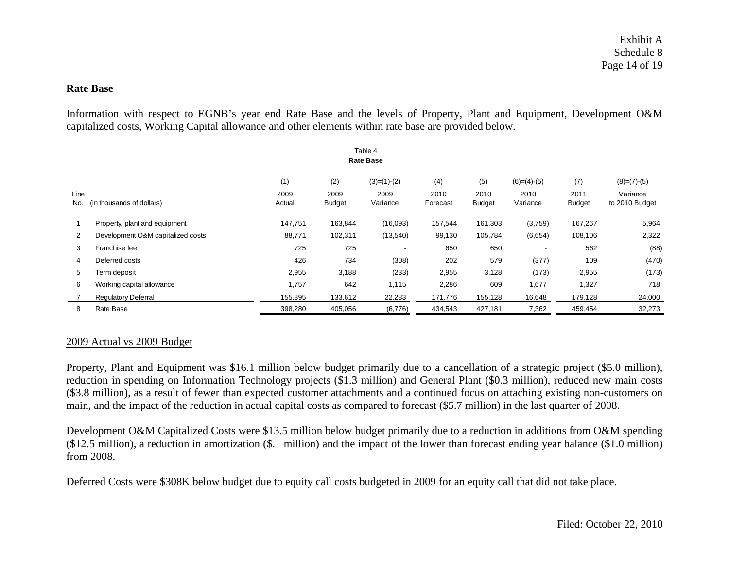#### **Rate Base**

Information with respect to EGNB's year end Rate Base and the levels of Property, Plant and Equipment, Development O&M capitalized costs, Working Capital allowance and other elements within rate base are provided below.

|                                          | Table 4<br><b>Rate Base</b>       |                |                       |                  |                  |                |                  |                       |                            |  |  |
|------------------------------------------|-----------------------------------|----------------|-----------------------|------------------|------------------|----------------|------------------|-----------------------|----------------------------|--|--|
|                                          |                                   | (1)            | (2)                   | $(3)=(1)-(2)$    | (4)              | (5)            | $(6)=(4)-(5)$    | (7)                   | $(8)=(7)-(5)$              |  |  |
| Line<br>(in thousands of dollars)<br>No. |                                   | 2009<br>Actual | 2009<br><b>Budget</b> | 2009<br>Variance | 2010<br>Forecast | 2010<br>Budget | 2010<br>Variance | 2011<br><b>Budget</b> | Variance<br>to 2010 Budget |  |  |
|                                          |                                   |                |                       |                  |                  |                |                  |                       |                            |  |  |
|                                          | Property, plant and equipment     | 147,751        | 163,844               | (16,093)         | 157,544          | 161,303        | (3,759)          | 167,267               | 5,964                      |  |  |
| 2                                        | Development O&M capitalized costs | 88,771         | 102,311               | (13,540)         | 99,130           | 105,784        | (6,654)          | 108,106               | 2,322                      |  |  |
| 3                                        | Franchise fee                     | 725            | 725                   |                  | 650              | 650            |                  | 562                   | (88)                       |  |  |
| 4                                        | Deferred costs                    | 426            | 734                   | (308)            | 202              | 579            | (377)            | 109                   | (470)                      |  |  |
| 5                                        | Term deposit                      | 2,955          | 3,188                 | (233)            | 2,955            | 3,128          | (173)            | 2,955                 | (173)                      |  |  |
| 6                                        | Working capital allowance         | 1,757          | 642                   | 1,115            | 2,286            | 609            | 1,677            | 1,327                 | 718                        |  |  |
|                                          | <b>Regulatory Deferral</b>        | 155,895        | 133,612               | 22,283           | 171,776          | 155,128        | 16,648           | 179,128               | 24,000                     |  |  |
| 8                                        | Rate Base                         | 398,280        | 405,056               | (6,776)          | 434,543          | 427,181        | 7,362            | 459,454               | 32,273                     |  |  |

#### 2009 Actual vs 2009 Budget

Property, Plant and Equipment was \$16.1 million below budget primarily due to a cancellation of a strategic project (\$5.0 million), reduction in spending on Information Technology projects (\$1.3 million) and General Plant (\$0.3 million), reduced new main costs (\$3.8 million), as a result of fewer than expected customer attachments and a continued focus on attaching existing non-customers on main, and the impact of the reduction in actual capital costs as compared to forecast (\$5.7 million) in the last quarter of 2008.

Development O&M Capitalized Costs were \$13.5 million below budget primarily due to a reduction in additions from O&M spending (\$12.5 million), a reduction in amortization (\$.1 million) and the impact of the lower than forecast ending year balance (\$1.0 million) from 2008.

Deferred Costs were \$308K below budget due to equity call costs budgeted in 2009 for an equity call that did not take place.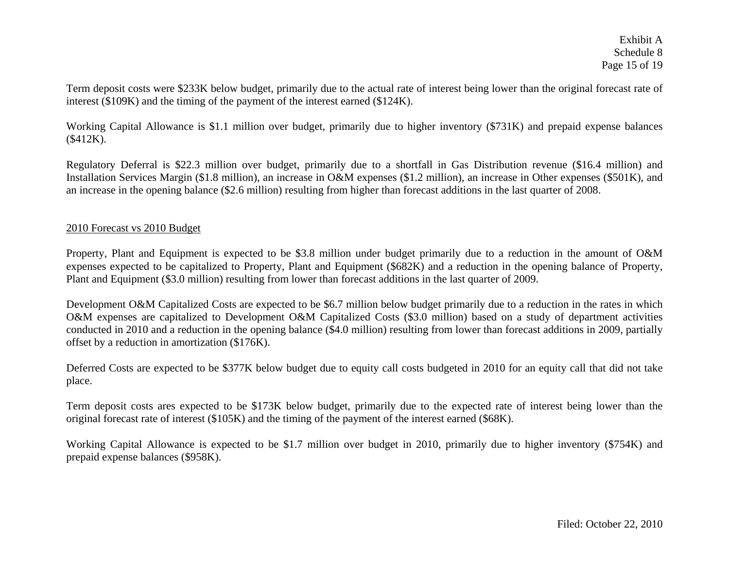Term deposit costs were \$233K below budget, primarily due to the actual rate of interest being lower than the original forecast rate of interest (\$109K) and the timing of the payment of the interest earned (\$124K).

Working Capital Allowance is \$1.1 million over budget, primarily due to higher inventory (\$731K) and prepaid expense balances (\$412K).

Regulatory Deferral is \$22.3 million over budget, primarily due to a shortfall in Gas Distribution revenue (\$16.4 million) and Installation Services Margin (\$1.8 million), an increase in O&M expenses (\$1.2 million), an increase in Other expenses (\$501K), and an increase in the opening balance (\$2.6 million) resulting from higher than forecast additions in the last quarter of 2008.

#### 2010 Forecast vs 2010 Budget

Property, Plant and Equipment is expected to be \$3.8 million under budget primarily due to a reduction in the amount of O&M expenses expected to be capitalized to Property, Plant and Equipment (\$682K) and a reduction in the opening balance of Property, Plant and Equipment (\$3.0 million) resulting from lower than forecast additions in the last quarter of 2009.

Development O&M Capitalized Costs are expected to be \$6.7 million below budget primarily due to a reduction in the rates in which O&M expenses are capitalized to Development O&M Capitalized Costs (\$3.0 million) based on a study of department activities conducted in 2010 and a reduction in the opening balance (\$4.0 million) resulting from lower than forecast additions in 2009, partially offset by a reduction in amortization (\$176K).

Deferred Costs are expected to be \$377K below budget due to equity call costs budgeted in 2010 for an equity call that did not take place.

Term deposit costs ares expected to be \$173K below budget, primarily due to the expected rate of interest being lower than the original forecast rate of interest (\$105K) and the timing of the payment of the interest earned (\$68K).

Working Capital Allowance is expected to be \$1.7 million over budget in 2010, primarily due to higher inventory (\$754K) and prepaid expense balances (\$958K).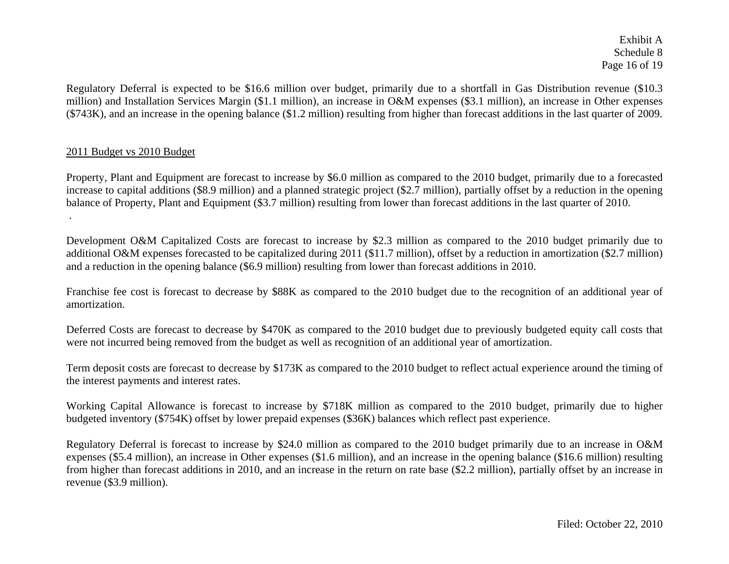Exhibit A Schedule 8 Page 16 of 19

Regulatory Deferral is expected to be \$16.6 million over budget, primarily due to a shortfall in Gas Distribution revenue (\$10.3 million) and Installation Services Margin (\$1.1 million), an increase in O&M expenses (\$3.1 million), an increase in Other expenses (\$743K), and an increase in the opening balance (\$1.2 million) resulting from higher than forecast additions in the last quarter of 2009.

#### 2011 Budget vs 2010 Budget

.

Property, Plant and Equipment are forecast to increase by \$6.0 million as compared to the 2010 budget, primarily due to a forecasted increase to capital additions (\$8.9 million) and a planned strategic project (\$2.7 million), partially offset by a reduction in the opening balance of Property, Plant and Equipment (\$3.7 million) resulting from lower than forecast additions in the last quarter of 2010.

Development O&M Capitalized Costs are forecast to increase by \$2.3 million as compared to the 2010 budget primarily due to additional O&M expenses forecasted to be capitalized during 2011 (\$11.7 million), offset by a reduction in amortization (\$2.7 million) and a reduction in the opening balance (\$6.9 million) resulting from lower than forecast additions in 2010.

Franchise fee cost is forecast to decrease by \$88K as compared to the 2010 budget due to the recognition of an additional year of amortization.

Deferred Costs are forecast to decrease by \$470K as compared to the 2010 budget due to previously budgeted equity call costs that were not incurred being removed from the budget as well as recognition of an additional year of amortization.

Term deposit costs are forecast to decrease by \$173K as compared to the 2010 budget to reflect actual experience around the timing of the interest payments and interest rates.

Working Capital Allowance is forecast to increase by \$718K million as compared to the 2010 budget, primarily due to higher budgeted inventory (\$754K) offset by lower prepaid expenses (\$36K) balances which reflect past experience.

Regulatory Deferral is forecast to increase by \$24.0 million as compared to the 2010 budget primarily due to an increase in O&M expenses (\$5.4 million), an increase in Other expenses (\$1.6 million), and an increase in the opening balance (\$16.6 million) resulting from higher than forecast additions in 2010, and an increase in the return on rate base (\$2.2 million), partially offset by an increase in revenue (\$3.9 million).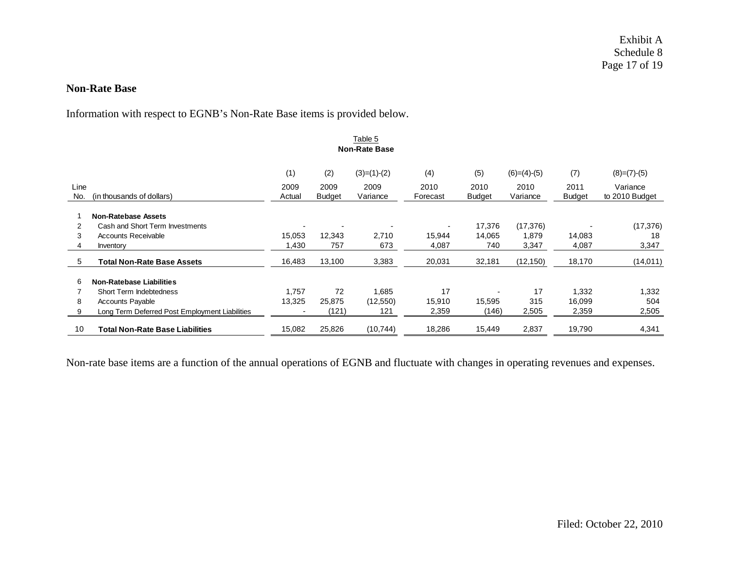#### **Non-Rate Base**

Information with respect to EGNB's Non-Rate Base items is provided below.

|      |                                                |        |               | Table 5       |          |               |               |               |                |  |  |  |
|------|------------------------------------------------|--------|---------------|---------------|----------|---------------|---------------|---------------|----------------|--|--|--|
|      | <b>Non-Rate Base</b>                           |        |               |               |          |               |               |               |                |  |  |  |
|      |                                                | (1)    | (2)           | $(3)=(1)-(2)$ | (4)      | (5)           | $(6)=(4)-(5)$ | (7)           | $(8)=(7)-(5)$  |  |  |  |
| Line |                                                | 2009   | 2009          | 2009          | 2010     | 2010          | 2010          | 2011          | Variance       |  |  |  |
| No.  | (in thousands of dollars)                      | Actual | <b>Budget</b> | Variance      | Forecast | <b>Budget</b> | Variance      | <b>Budget</b> | to 2010 Budget |  |  |  |
|      | <b>Non-Ratebase Assets</b>                     |        |               |               |          |               |               |               |                |  |  |  |
| 2    | Cash and Short Term Investments                |        |               |               |          | 17,376        | (17, 376)     |               | (17, 376)      |  |  |  |
| 3    | <b>Accounts Receivable</b>                     | 15,053 | 12,343        | 2,710         | 15,944   | 14,065        | 1,879         | 14,083        | 18             |  |  |  |
| 4    | Inventory                                      | 1,430  | 757           | 673           | 4,087    | 740           | 3,347         | 4,087         | 3,347          |  |  |  |
| 5    | <b>Total Non-Rate Base Assets</b>              | 16,483 | 13,100        | 3,383         | 20,031   | 32,181        | (12, 150)     | 18,170        | (14, 011)      |  |  |  |
| 6    | <b>Non-Ratebase Liabilities</b>                |        |               |               |          |               |               |               |                |  |  |  |
|      | Short Term Indebtedness                        | 1.757  | 72            | 1,685         | 17       |               | 17            | 1,332         | 1,332          |  |  |  |
| 8    | <b>Accounts Payable</b>                        | 13,325 | 25,875        | (12, 550)     | 15,910   | 15,595        | 315           | 16,099        | 504            |  |  |  |
| 9    | Long Term Deferred Post Employment Liabilities |        | (121)         | 121           | 2,359    | (146)         | 2,505         | 2,359         | 2,505          |  |  |  |
| 10   | <b>Total Non-Rate Base Liabilities</b>         | 15,082 | 25,826        | (10, 744)     | 18,286   | 15,449        | 2,837         | 19,790        | 4,341          |  |  |  |

Non-rate base items are a function of the annual operations of EGNB and fluctuate with changes in operating revenues and expenses.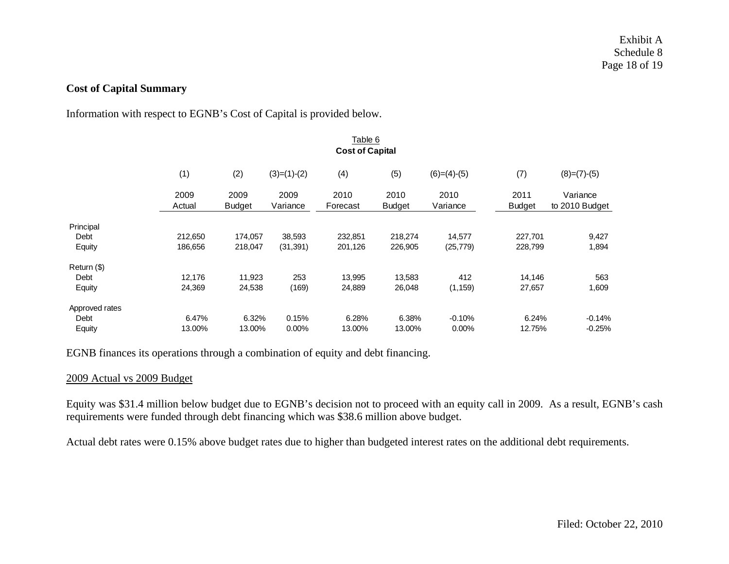# **Cost of Capital Summary**

Information with respect to EGNB's Cost of Capital is provided below.

|                |                        |                       |                  | Table 6          |                       |                  |                       |                            |  |  |  |  |
|----------------|------------------------|-----------------------|------------------|------------------|-----------------------|------------------|-----------------------|----------------------------|--|--|--|--|
|                | <b>Cost of Capital</b> |                       |                  |                  |                       |                  |                       |                            |  |  |  |  |
|                | (1)                    | (2)                   | $(3)=(1)-(2)$    | (4)              | (5)                   | $(6)=(4)-(5)$    | (7)                   | $(8)=(7)-(5)$              |  |  |  |  |
|                | 2009<br>Actual         | 2009<br><b>Budget</b> | 2009<br>Variance | 2010<br>Forecast | 2010<br><b>Budget</b> | 2010<br>Variance | 2011<br><b>Budget</b> | Variance<br>to 2010 Budget |  |  |  |  |
| Principal      |                        |                       |                  |                  |                       |                  |                       |                            |  |  |  |  |
| Debt           | 212,650                | 174,057               | 38,593           | 232,851          | 218,274               | 14,577           | 227,701               | 9,427                      |  |  |  |  |
| Equity         | 186,656                | 218,047               | (31, 391)        | 201,126          | 226,905               | (25, 779)        | 228,799               | 1,894                      |  |  |  |  |
| Return (\$)    |                        |                       |                  |                  |                       |                  |                       |                            |  |  |  |  |
| Debt           | 12,176                 | 11,923                | 253              | 13,995           | 13,583                | 412              | 14,146                | 563                        |  |  |  |  |
| Equity         | 24,369                 | 24,538                | (169)            | 24,889           | 26,048                | (1, 159)         | 27,657                | 1,609                      |  |  |  |  |
| Approved rates |                        |                       |                  |                  |                       |                  |                       |                            |  |  |  |  |
| Debt           | 6.47%                  | 6.32%                 | 0.15%            | 6.28%            | 6.38%                 | $-0.10%$         | 6.24%                 | $-0.14%$                   |  |  |  |  |
| Equity         | 13.00%                 | 13.00%                | $0.00\%$         | 13.00%           | 13.00%                | $0.00\%$         | 12.75%                | $-0.25%$                   |  |  |  |  |

EGNB finances its operations through a combination of equity and debt financing.

#### 2009 Actual vs 2009 Budget

Equity was \$31.4 million below budget due to EGNB's decision not to proceed with an equity call in 2009. As a result, EGNB's cash requirements were funded through debt financing which was \$38.6 million above budget.

Actual debt rates were 0.15% above budget rates due to higher than budgeted interest rates on the additional debt requirements.